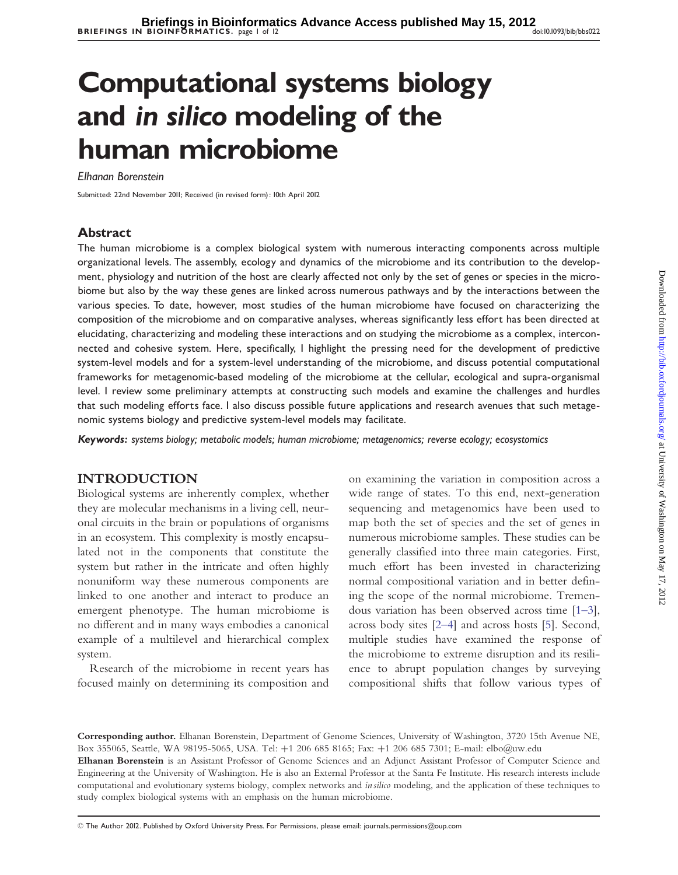# Computational systems biology and in silico modeling of the human microbiome

Elhanan Borenstein

Submitted: 22nd November 2011; Received (in revised form): 10th April 2012

#### Abstract

The human microbiome is a complex biological system with numerous interacting components across multiple organizational levels. The assembly, ecology and dynamics of the microbiome and its contribution to the development, physiology and nutrition of the host are clearly affected not only by the set of genes or species in the microbiome but also by the way these genes are linked across numerous pathways and by the interactions between the various species. To date, however, most studies of the human microbiome have focused on characterizing the composition of the microbiome and on comparative analyses, whereas significantly less effort has been directed at elucidating, characterizing and modeling these interactions and on studying the microbiome as a complex, interconnected and cohesive system. Here, specifically, I highlight the pressing need for the development of predictive system-level models and for a system-level understanding of the microbiome, and discuss potential computational frameworks for metagenomic-based modeling of the microbiome at the cellular, ecological and supra-organismal level. I review some preliminary attempts at constructing such models and examine the challenges and hurdles that such modeling efforts face. I also discuss possible future applications and research avenues that such metagenomic systems biology and predictive system-level models may facilitate.

Keywords: systems biology; metabolic models; human microbiome; metagenomics; reverse ecology; ecosystomics

## INTRODUCTION

Biological systems are inherently complex, whether they are molecular mechanisms in a living cell, neuronal circuits in the brain or populations of organisms in an ecosystem. This complexity is mostly encapsulated not in the components that constitute the system but rather in the intricate and often highly nonuniform way these numerous components are linked to one another and interact to produce an emergent phenotype. The human microbiome is no different and in many ways embodies a canonical example of a multilevel and hierarchical complex system.

Research of the microbiome in recent years has focused mainly on determining its composition and on examining the variation in composition across a wide range of states. To this end, next-generation sequencing and metagenomics have been used to map both the set of species and the set of genes in numerous microbiome samples. These studies can be generally classified into three main categories. First, much effort has been invested in characterizing normal compositional variation and in better defining the scope of the normal microbiome. Tremendous variation has been observed across time [\[1–3](#page-9-0)], across body sites [\[2–4\]](#page-9-0) and across hosts [[5](#page-9-0)]. Second, multiple studies have examined the response of the microbiome to extreme disruption and its resilience to abrupt population changes by surveying compositional shifts that follow various types of

Corresponding author. Elhanan Borenstein, Department of Genome Sciences, University of Washington, 3720 15th Avenue NE, Box 355065, Seattle, WA 98195-5065, USA. Tel: þ1 206 685 8165; Fax: þ1 206 685 7301; E-mail: elbo@uw.edu

Elhanan Borenstein is an Assistant Professor of Genome Sciences and an Adjunct Assistant Professor of Computer Science and Engineering at the University of Washington. He is also an External Professor at the Santa Fe Institute. His research interests include computational and evolutionary systems biology, complex networks and in silico modeling, and the application of these techniques to study complex biological systems with an emphasis on the human microbiome.

- The Author 2012. Published by Oxford University Press. For Permissions, please email: journals.permissions@oup.com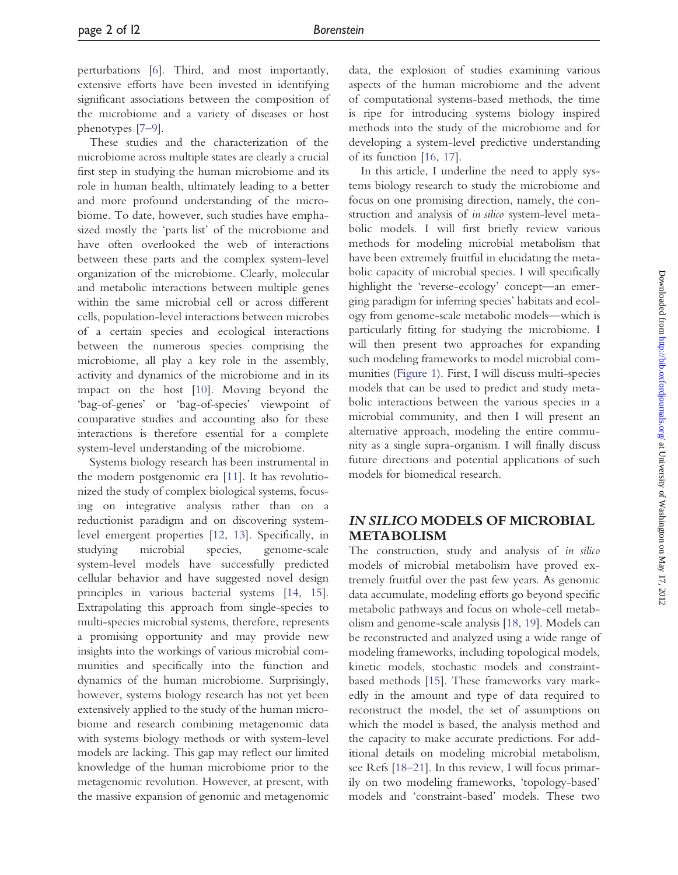perturbations [[6](#page-9-0)]. Third, and most importantly, extensive efforts have been invested in identifying significant associations between the composition of the microbiome and a variety of diseases or host phenotypes [\[7–9](#page-9-0)].

These studies and the characterization of the microbiome across multiple states are clearly a crucial first step in studying the human microbiome and its role in human health, ultimately leading to a better and more profound understanding of the microbiome. To date, however, such studies have emphasized mostly the 'parts list' of the microbiome and have often overlooked the web of interactions between these parts and the complex system-level organization of the microbiome. Clearly, molecular and metabolic interactions between multiple genes within the same microbial cell or across different cells, population-level interactions between microbes of a certain species and ecological interactions between the numerous species comprising the microbiome, all play a key role in the assembly, activity and dynamics of the microbiome and in its impact on the host [\[10](#page-9-0)]. Moving beyond the 'bag-of-genes' or 'bag-of-species' viewpoint of comparative studies and accounting also for these interactions is therefore essential for a complete system-level understanding of the microbiome.

Systems biology research has been instrumental in the modern postgenomic era [[11](#page-9-0)]. It has revolutionized the study of complex biological systems, focusing on integrative analysis rather than on a reductionist paradigm and on discovering systemlevel emergent properties [\[12,](#page-9-0) [13\]](#page-9-0). Specifically, in studying microbial species, genome-scale system-level models have successfully predicted cellular behavior and have suggested novel design principles in various bacterial systems [\[14,](#page-9-0) [15](#page-9-0)]. Extrapolating this approach from single-species to multi-species microbial systems, therefore, represents a promising opportunity and may provide new insights into the workings of various microbial communities and specifically into the function and dynamics of the human microbiome. Surprisingly, however, systems biology research has not yet been extensively applied to the study of the human microbiome and research combining metagenomic data with systems biology methods or with system-level models are lacking. This gap may reflect our limited knowledge of the human microbiome prior to the metagenomic revolution. However, at present, with the massive expansion of genomic and metagenomic

data, the explosion of studies examining various aspects of the human microbiome and the advent of computational systems-based methods, the time is ripe for introducing systems biology inspired methods into the study of the microbiome and for developing a system-level predictive understanding of its function [\[16](#page-9-0), [17](#page-9-0)].

In this article, I underline the need to apply systems biology research to study the microbiome and focus on one promising direction, namely, the construction and analysis of in silico system-level metabolic models. I will first briefly review various methods for modeling microbial metabolism that have been extremely fruitful in elucidating the metabolic capacity of microbial species. I will specifically highlight the 'reverse-ecology' concept—an emerging paradigm for inferring species' habitats and ecology from genome-scale metabolic models—which is particularly fitting for studying the microbiome. I will then present two approaches for expanding such modeling frameworks to model microbial communities [\(Figure 1\)](#page-2-0). First, I will discuss multi-species models that can be used to predict and study metabolic interactions between the various species in a microbial community, and then I will present an alternative approach, modeling the entire community as a single supra-organism. I will finally discuss future directions and potential applications of such models for biomedical research.

# IN SILICO MODELS OF MICROBIAL METABOLISM

The construction, study and analysis of *in silico* models of microbial metabolism have proved extremely fruitful over the past few years. As genomic data accumulate, modeling efforts go beyond specific metabolic pathways and focus on whole-cell metabolism and genome-scale analysis [[18](#page-9-0), [19](#page-9-0)]. Models can be reconstructed and analyzed using a wide range of modeling frameworks, including topological models, kinetic models, stochastic models and constraintbased methods [\[15\]](#page-9-0). These frameworks vary markedly in the amount and type of data required to reconstruct the model, the set of assumptions on which the model is based, the analysis method and the capacity to make accurate predictions. For additional details on modeling microbial metabolism, see Refs [\[18–21\]](#page-9-0). In this review, I will focus primarily on two modeling frameworks, 'topology-based' models and 'constraint-based' models. These two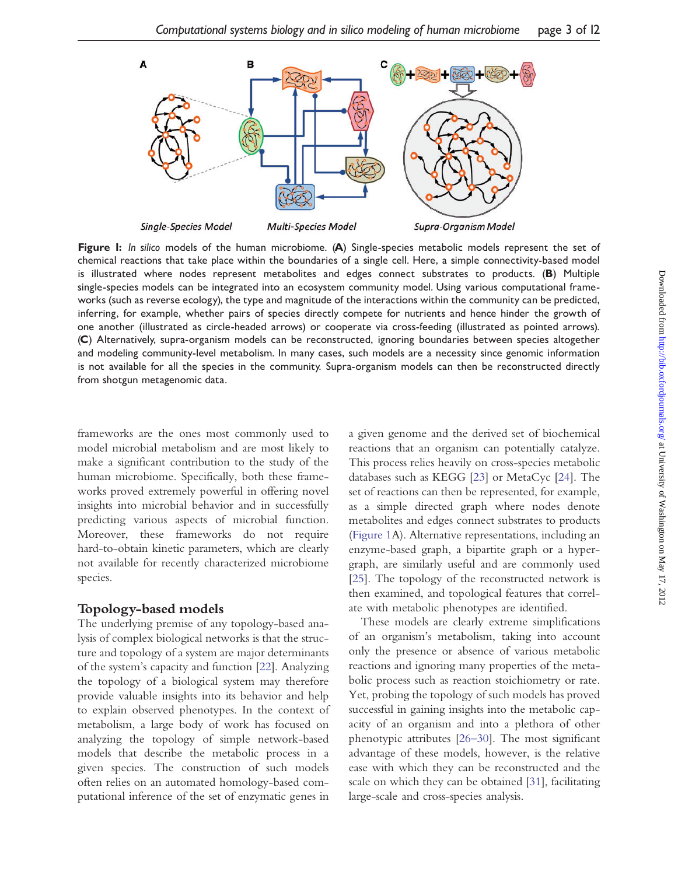<span id="page-2-0"></span>

Figure 1: In silico models of the human microbiome. (A) Single-species metabolic models represent the set of chemical reactions that take place within the boundaries of a single cell. Here, a simple connectivity-based model is illustrated where nodes represent metabolites and edges connect substrates to products. (B) Multiple single-species models can be integrated into an ecosystem community model. Using various computational frameworks (such as reverse ecology), the type and magnitude of the interactions within the community can be predicted, inferring, for example, whether pairs of species directly compete for nutrients and hence hinder the growth of one another (illustrated as circle-headed arrows) or cooperate via cross-feeding (illustrated as pointed arrows). (C) Alternatively, supra-organism models can be reconstructed, ignoring boundaries between species altogether and modeling community-level metabolism. In many cases, such models are a necessity since genomic information is not available for all the species in the community. Supra-organism models can then be reconstructed directly from shotgun metagenomic data.

frameworks are the ones most commonly used to model microbial metabolism and are most likely to make a significant contribution to the study of the human microbiome. Specifically, both these frameworks proved extremely powerful in offering novel insights into microbial behavior and in successfully predicting various aspects of microbial function. Moreover, these frameworks do not require hard-to-obtain kinetic parameters, which are clearly not available for recently characterized microbiome species.

## Topology-based models

The underlying premise of any topology-based analysis of complex biological networks is that the structure and topology of a system are major determinants of the system's capacity and function [\[22](#page-9-0)]. Analyzing the topology of a biological system may therefore provide valuable insights into its behavior and help to explain observed phenotypes. In the context of metabolism, a large body of work has focused on analyzing the topology of simple network-based models that describe the metabolic process in a given species. The construction of such models often relies on an automated homology-based computational inference of the set of enzymatic genes in

a given genome and the derived set of biochemical reactions that an organism can potentially catalyze. This process relies heavily on cross-species metabolic databases such as KEGG [[23](#page-9-0)] or MetaCyc [\[24](#page-9-0)]. The set of reactions can then be represented, for example, as a simple directed graph where nodes denote metabolites and edges connect substrates to products (Figure 1A). Alternative representations, including an enzyme-based graph, a bipartite graph or a hypergraph, are similarly useful and are commonly used [\[25](#page-9-0)]. The topology of the reconstructed network is then examined, and topological features that correlate with metabolic phenotypes are identified.

These models are clearly extreme simplifications of an organism's metabolism, taking into account only the presence or absence of various metabolic reactions and ignoring many properties of the metabolic process such as reaction stoichiometry or rate. Yet, probing the topology of such models has proved successful in gaining insights into the metabolic capacity of an organism and into a plethora of other phenotypic attributes [[26–30\]](#page-9-0). The most significant advantage of these models, however, is the relative ease with which they can be reconstructed and the scale on which they can be obtained [\[31](#page-9-0)], facilitating large-scale and cross-species analysis.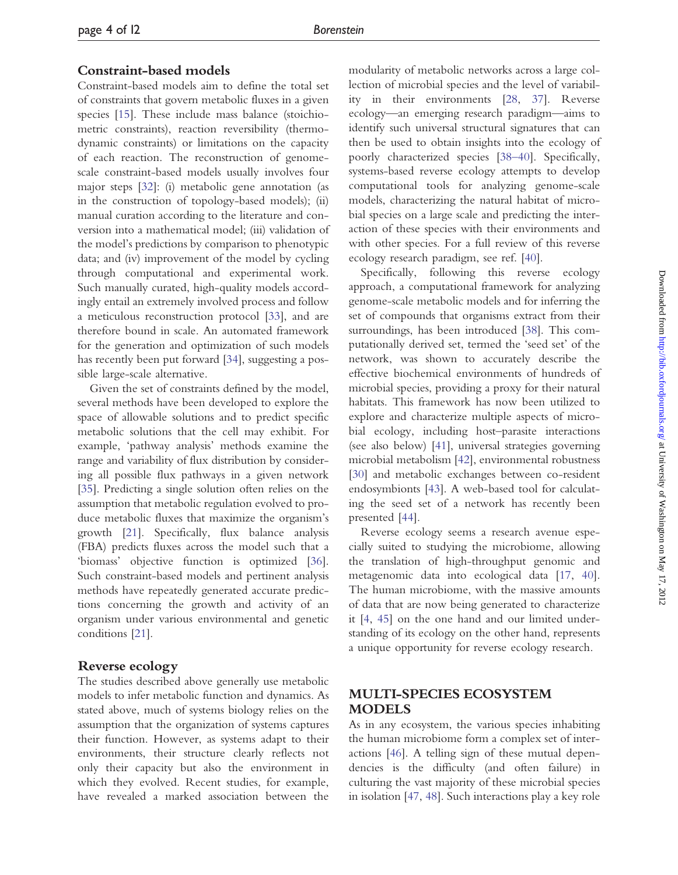## Constraint-based models

Constraint-based models aim to define the total set of constraints that govern metabolic fluxes in a given species [[15\]](#page-9-0). These include mass balance (stoichiometric constraints), reaction reversibility (thermodynamic constraints) or limitations on the capacity of each reaction. The reconstruction of genomescale constraint-based models usually involves four major steps [[32](#page-9-0)]: (i) metabolic gene annotation (as in the construction of topology-based models); (ii) manual curation according to the literature and conversion into a mathematical model; (iii) validation of the model's predictions by comparison to phenotypic data; and (iv) improvement of the model by cycling through computational and experimental work. Such manually curated, high-quality models accordingly entail an extremely involved process and follow a meticulous reconstruction protocol [\[33](#page-9-0)], and are therefore bound in scale. An automated framework for the generation and optimization of such models has recently been put forward [[34](#page-9-0)], suggesting a possible large-scale alternative.

Given the set of constraints defined by the model, several methods have been developed to explore the space of allowable solutions and to predict specific metabolic solutions that the cell may exhibit. For example, 'pathway analysis' methods examine the range and variability of flux distribution by considering all possible flux pathways in a given network [\[35\]](#page-10-0). Predicting a single solution often relies on the assumption that metabolic regulation evolved to produce metabolic fluxes that maximize the organism's growth [[21](#page-9-0)]. Specifically, flux balance analysis (FBA) predicts fluxes across the model such that a 'biomass' objective function is optimized [[36](#page-10-0)]. Such constraint-based models and pertinent analysis methods have repeatedly generated accurate predictions concerning the growth and activity of an organism under various environmental and genetic conditions [[21](#page-9-0)].

# Reverse ecology

The studies described above generally use metabolic models to infer metabolic function and dynamics. As stated above, much of systems biology relies on the assumption that the organization of systems captures their function. However, as systems adapt to their environments, their structure clearly reflects not only their capacity but also the environment in which they evolved. Recent studies, for example, have revealed a marked association between the modularity of metabolic networks across a large collection of microbial species and the level of variability in their environments [\[28,](#page-9-0) [37](#page-10-0)]. Reverse ecology—an emerging research paradigm—aims to identify such universal structural signatures that can then be used to obtain insights into the ecology of poorly characterized species [[38–40\]](#page-10-0). Specifically, systems-based reverse ecology attempts to develop computational tools for analyzing genome-scale models, characterizing the natural habitat of microbial species on a large scale and predicting the interaction of these species with their environments and with other species. For a full review of this reverse ecology research paradigm, see ref. [\[40\]](#page-10-0).

Specifically, following this reverse ecology approach, a computational framework for analyzing genome-scale metabolic models and for inferring the set of compounds that organisms extract from their surroundings, has been introduced [[38](#page-10-0)]. This computationally derived set, termed the 'seed set' of the network, was shown to accurately describe the effective biochemical environments of hundreds of microbial species, providing a proxy for their natural habitats. This framework has now been utilized to explore and characterize multiple aspects of microbial ecology, including host–parasite interactions (see also below) [\[41\]](#page-10-0), universal strategies governing microbial metabolism [[42](#page-10-0)], environmental robustness [\[30](#page-9-0)] and metabolic exchanges between co-resident endosymbionts [[43\]](#page-10-0). A web-based tool for calculating the seed set of a network has recently been presented [[44\]](#page-10-0).

Reverse ecology seems a research avenue especially suited to studying the microbiome, allowing the translation of high-throughput genomic and metagenomic data into ecological data [\[17](#page-9-0), [40](#page-10-0)]. The human microbiome, with the massive amounts of data that are now being generated to characterize it [[4,](#page-9-0) [45\]](#page-10-0) on the one hand and our limited understanding of its ecology on the other hand, represents a unique opportunity for reverse ecology research.

# MULTI-SPECIES ECOSYSTEM MODELS

As in any ecosystem, the various species inhabiting the human microbiome form a complex set of interactions [\[46\]](#page-10-0). A telling sign of these mutual dependencies is the difficulty (and often failure) in culturing the vast majority of these microbial species in isolation [\[47,](#page-10-0) [48](#page-10-0)]. Such interactions play a key role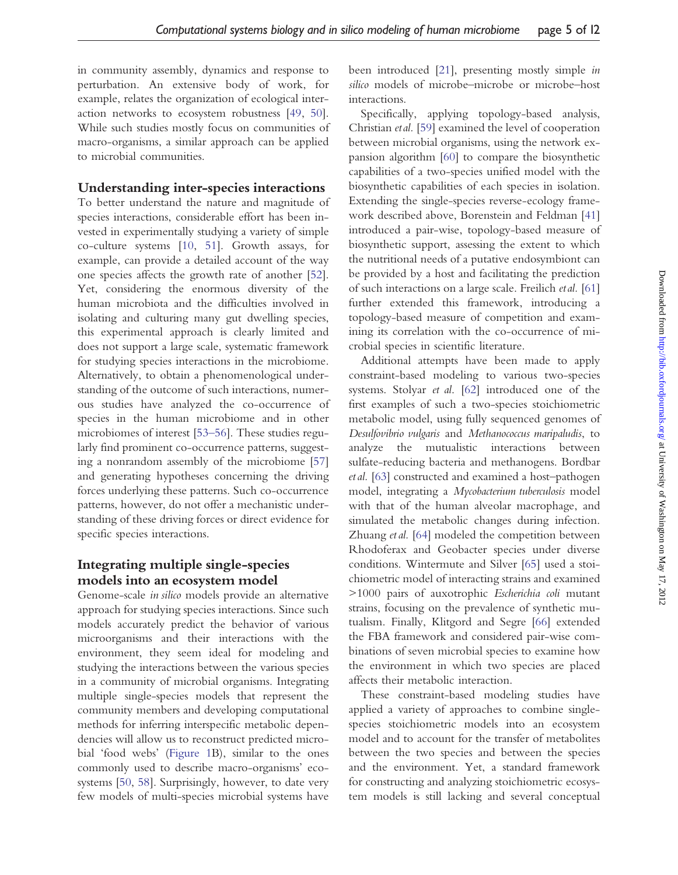in community assembly, dynamics and response to perturbation. An extensive body of work, for example, relates the organization of ecological interaction networks to ecosystem robustness [[49](#page-10-0), [50](#page-10-0)]. While such studies mostly focus on communities of macro-organisms, a similar approach can be applied to microbial communities.

#### Understanding inter-species interactions

To better understand the nature and magnitude of species interactions, considerable effort has been invested in experimentally studying a variety of simple co-culture systems [\[10](#page-9-0), [51](#page-10-0)]. Growth assays, for example, can provide a detailed account of the way one species affects the growth rate of another [[52](#page-10-0)]. Yet, considering the enormous diversity of the human microbiota and the difficulties involved in isolating and culturing many gut dwelling species, this experimental approach is clearly limited and does not support a large scale, systematic framework for studying species interactions in the microbiome. Alternatively, to obtain a phenomenological understanding of the outcome of such interactions, numerous studies have analyzed the co-occurrence of species in the human microbiome and in other microbiomes of interest [[53–56\]](#page-10-0). These studies regularly find prominent co-occurrence patterns, suggesting a nonrandom assembly of the microbiome [\[57\]](#page-10-0) and generating hypotheses concerning the driving forces underlying these patterns. Such co-occurrence patterns, however, do not offer a mechanistic understanding of these driving forces or direct evidence for specific species interactions.

# Integrating multiple single-species models into an ecosystem model

Genome-scale in silico models provide an alternative approach for studying species interactions. Since such models accurately predict the behavior of various microorganisms and their interactions with the environment, they seem ideal for modeling and studying the interactions between the various species in a community of microbial organisms. Integrating multiple single-species models that represent the community members and developing computational methods for inferring interspecific metabolic dependencies will allow us to reconstruct predicted microbial 'food webs' ([Figure 1](#page-2-0)B), similar to the ones commonly used to describe macro-organisms' ecosystems [[50,](#page-10-0) [58](#page-10-0)]. Surprisingly, however, to date very few models of multi-species microbial systems have

been introduced [[21](#page-9-0)], presenting mostly simple in silico models of microbe–microbe or microbe–host interactions.

Specifically, applying topology-based analysis, Christian etal. [[59](#page-10-0)] examined the level of cooperation between microbial organisms, using the network expansion algorithm [[60](#page-10-0)] to compare the biosynthetic capabilities of a two-species unified model with the biosynthetic capabilities of each species in isolation. Extending the single-species reverse-ecology framework described above, Borenstein and Feldman [\[41](#page-10-0)] introduced a pair-wise, topology-based measure of biosynthetic support, assessing the extent to which the nutritional needs of a putative endosymbiont can be provided by a host and facilitating the prediction of such interactions on a large scale. Freilich etal. [\[61](#page-10-0)] further extended this framework, introducing a topology-based measure of competition and examining its correlation with the co-occurrence of microbial species in scientific literature.

Additional attempts have been made to apply constraint-based modeling to various two-species systems. Stolyar et al. [[62](#page-10-0)] introduced one of the first examples of such a two-species stoichiometric metabolic model, using fully sequenced genomes of Desulfovibrio vulgaris and Methanococcus maripaludis, to analyze the mutualistic interactions between sulfate-reducing bacteria and methanogens. Bordbar et al. [[63](#page-10-0)] constructed and examined a host–pathogen model, integrating a Mycobacterium tuberculosis model with that of the human alveolar macrophage, and simulated the metabolic changes during infection. Zhuang et al. [[64](#page-10-0)] modeled the competition between Rhodoferax and Geobacter species under diverse conditions. Wintermute and Silver [\[65\]](#page-10-0) used a stoichiometric model of interacting strains and examined >1000 pairs of auxotrophic Escherichia coli mutant strains, focusing on the prevalence of synthetic mutualism. Finally, Klitgord and Segre [[66](#page-10-0)] extended the FBA framework and considered pair-wise combinations of seven microbial species to examine how the environment in which two species are placed affects their metabolic interaction.

These constraint-based modeling studies have applied a variety of approaches to combine singlespecies stoichiometric models into an ecosystem model and to account for the transfer of metabolites between the two species and between the species and the environment. Yet, a standard framework for constructing and analyzing stoichiometric ecosystem models is still lacking and several conceptual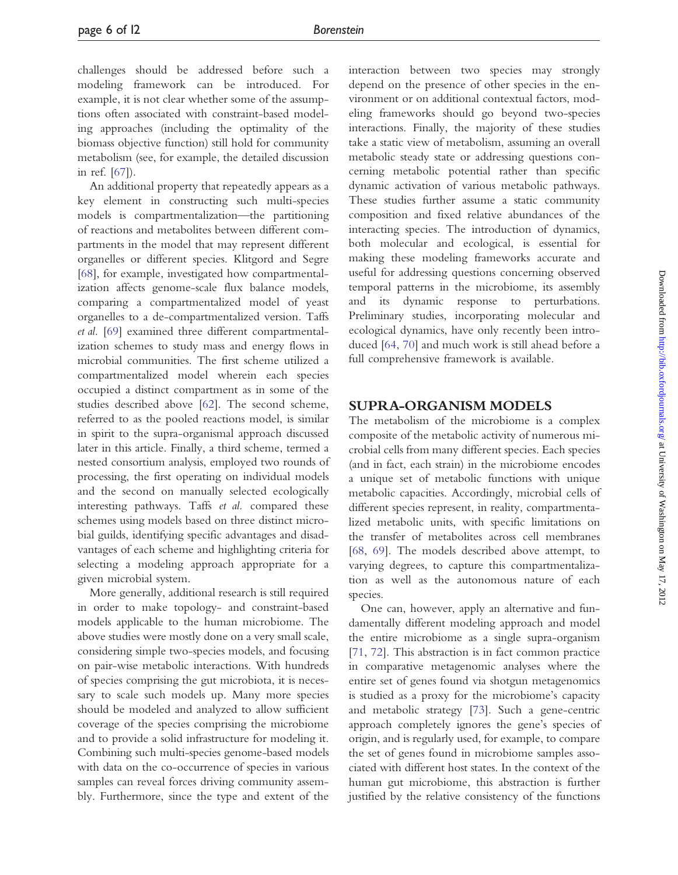challenges should be addressed before such a modeling framework can be introduced. For example, it is not clear whether some of the assumptions often associated with constraint-based modeling approaches (including the optimality of the biomass objective function) still hold for community metabolism (see, for example, the detailed discussion in ref. [\[67\]](#page-10-0)).

An additional property that repeatedly appears as a key element in constructing such multi-species models is compartmentalization—the partitioning of reactions and metabolites between different compartments in the model that may represent different organelles or different species. Klitgord and Segre [\[68\]](#page-10-0), for example, investigated how compartmentalization affects genome-scale flux balance models, comparing a compartmentalized model of yeast organelles to a de-compartmentalized version. Taffs et al. [\[69](#page-10-0)] examined three different compartmentalization schemes to study mass and energy flows in microbial communities. The first scheme utilized a compartmentalized model wherein each species occupied a distinct compartment as in some of the studies described above [[62\]](#page-10-0). The second scheme, referred to as the pooled reactions model, is similar in spirit to the supra-organismal approach discussed later in this article. Finally, a third scheme, termed a nested consortium analysis, employed two rounds of processing, the first operating on individual models and the second on manually selected ecologically interesting pathways. Taffs et al. compared these schemes using models based on three distinct microbial guilds, identifying specific advantages and disadvantages of each scheme and highlighting criteria for selecting a modeling approach appropriate for a given microbial system.

More generally, additional research is still required in order to make topology- and constraint-based models applicable to the human microbiome. The above studies were mostly done on a very small scale, considering simple two-species models, and focusing on pair-wise metabolic interactions. With hundreds of species comprising the gut microbiota, it is necessary to scale such models up. Many more species should be modeled and analyzed to allow sufficient coverage of the species comprising the microbiome and to provide a solid infrastructure for modeling it. Combining such multi-species genome-based models with data on the co-occurrence of species in various samples can reveal forces driving community assembly. Furthermore, since the type and extent of the interaction between two species may strongly depend on the presence of other species in the environment or on additional contextual factors, modeling frameworks should go beyond two-species interactions. Finally, the majority of these studies take a static view of metabolism, assuming an overall metabolic steady state or addressing questions concerning metabolic potential rather than specific dynamic activation of various metabolic pathways. These studies further assume a static community composition and fixed relative abundances of the interacting species. The introduction of dynamics, both molecular and ecological, is essential for making these modeling frameworks accurate and useful for addressing questions concerning observed temporal patterns in the microbiome, its assembly and its dynamic response to perturbations. Preliminary studies, incorporating molecular and ecological dynamics, have only recently been introduced [\[64](#page-10-0), [70\]](#page-10-0) and much work is still ahead before a full comprehensive framework is available.

# SUPRA-ORGANISM MODELS

The metabolism of the microbiome is a complex composite of the metabolic activity of numerous microbial cells from many different species. Each species (and in fact, each strain) in the microbiome encodes a unique set of metabolic functions with unique metabolic capacities. Accordingly, microbial cells of different species represent, in reality, compartmentalized metabolic units, with specific limitations on the transfer of metabolites across cell membranes [\[68](#page-10-0), [69\]](#page-10-0). The models described above attempt, to varying degrees, to capture this compartmentalization as well as the autonomous nature of each species.

One can, however, apply an alternative and fundamentally different modeling approach and model the entire microbiome as a single supra-organism [\[71](#page-10-0), [72\]](#page-10-0). This abstraction is in fact common practice in comparative metagenomic analyses where the entire set of genes found via shotgun metagenomics is studied as a proxy for the microbiome's capacity and metabolic strategy [\[73\]](#page-10-0). Such a gene-centric approach completely ignores the gene's species of origin, and is regularly used, for example, to compare the set of genes found in microbiome samples associated with different host states. In the context of the human gut microbiome, this abstraction is further justified by the relative consistency of the functions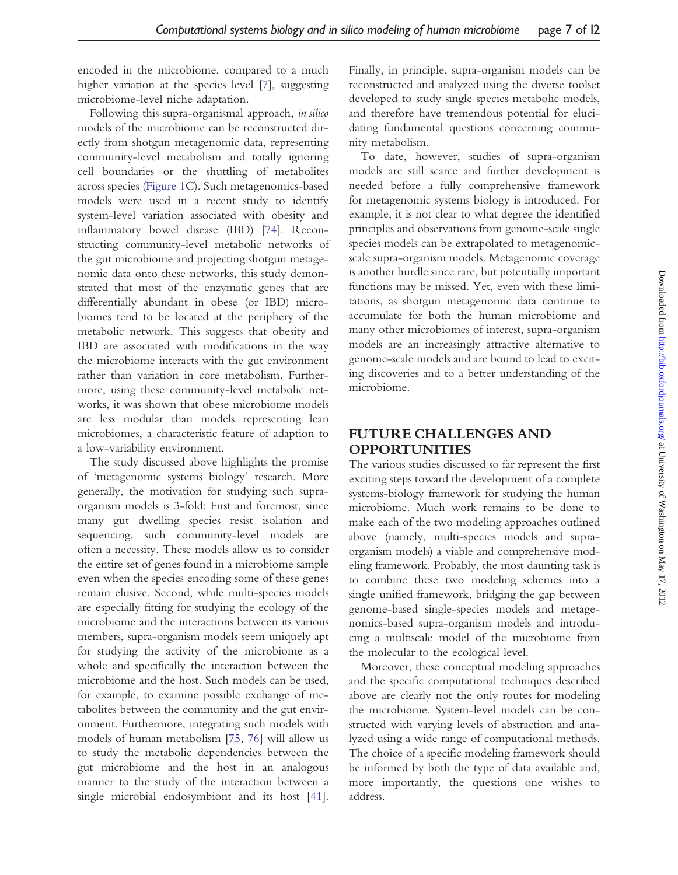encoded in the microbiome, compared to a much higher variation at the species level [\[7](#page-9-0)], suggesting microbiome-level niche adaptation.

Following this supra-organismal approach, in silico models of the microbiome can be reconstructed directly from shotgun metagenomic data, representing community-level metabolism and totally ignoring cell boundaries or the shuttling of metabolites across species ([Figure 1C](#page-2-0)). Such metagenomics-based models were used in a recent study to identify system-level variation associated with obesity and inflammatory bowel disease (IBD) [[74](#page-10-0)]. Reconstructing community-level metabolic networks of the gut microbiome and projecting shotgun metagenomic data onto these networks, this study demonstrated that most of the enzymatic genes that are differentially abundant in obese (or IBD) microbiomes tend to be located at the periphery of the metabolic network. This suggests that obesity and IBD are associated with modifications in the way the microbiome interacts with the gut environment rather than variation in core metabolism. Furthermore, using these community-level metabolic networks, it was shown that obese microbiome models are less modular than models representing lean microbiomes, a characteristic feature of adaption to a low-variability environment.

The study discussed above highlights the promise of 'metagenomic systems biology' research. More generally, the motivation for studying such supraorganism models is 3-fold: First and foremost, since many gut dwelling species resist isolation and sequencing, such community-level models are often a necessity. These models allow us to consider the entire set of genes found in a microbiome sample even when the species encoding some of these genes remain elusive. Second, while multi-species models are especially fitting for studying the ecology of the microbiome and the interactions between its various members, supra-organism models seem uniquely apt for studying the activity of the microbiome as a whole and specifically the interaction between the microbiome and the host. Such models can be used, for example, to examine possible exchange of metabolites between the community and the gut environment. Furthermore, integrating such models with models of human metabolism [[75](#page-11-0), [76\]](#page-11-0) will allow us to study the metabolic dependencies between the gut microbiome and the host in an analogous manner to the study of the interaction between a single microbial endosymbiont and its host [[41](#page-10-0)].

Finally, in principle, supra-organism models can be reconstructed and analyzed using the diverse toolset developed to study single species metabolic models, and therefore have tremendous potential for elucidating fundamental questions concerning community metabolism.

To date, however, studies of supra-organism models are still scarce and further development is needed before a fully comprehensive framework for metagenomic systems biology is introduced. For example, it is not clear to what degree the identified principles and observations from genome-scale single species models can be extrapolated to metagenomicscale supra-organism models. Metagenomic coverage is another hurdle since rare, but potentially important functions may be missed. Yet, even with these limitations, as shotgun metagenomic data continue to accumulate for both the human microbiome and many other microbiomes of interest, supra-organism models are an increasingly attractive alternative to genome-scale models and are bound to lead to exciting discoveries and to a better understanding of the microbiome.

# FUTURE CHALLENGES AND OPPORTUNITIES

The various studies discussed so far represent the first exciting steps toward the development of a complete systems-biology framework for studying the human microbiome. Much work remains to be done to make each of the two modeling approaches outlined above (namely, multi-species models and supraorganism models) a viable and comprehensive modeling framework. Probably, the most daunting task is to combine these two modeling schemes into a single unified framework, bridging the gap between genome-based single-species models and metagenomics-based supra-organism models and introducing a multiscale model of the microbiome from the molecular to the ecological level.

Moreover, these conceptual modeling approaches and the specific computational techniques described above are clearly not the only routes for modeling the microbiome. System-level models can be constructed with varying levels of abstraction and analyzed using a wide range of computational methods. The choice of a specific modeling framework should be informed by both the type of data available and, more importantly, the questions one wishes to address.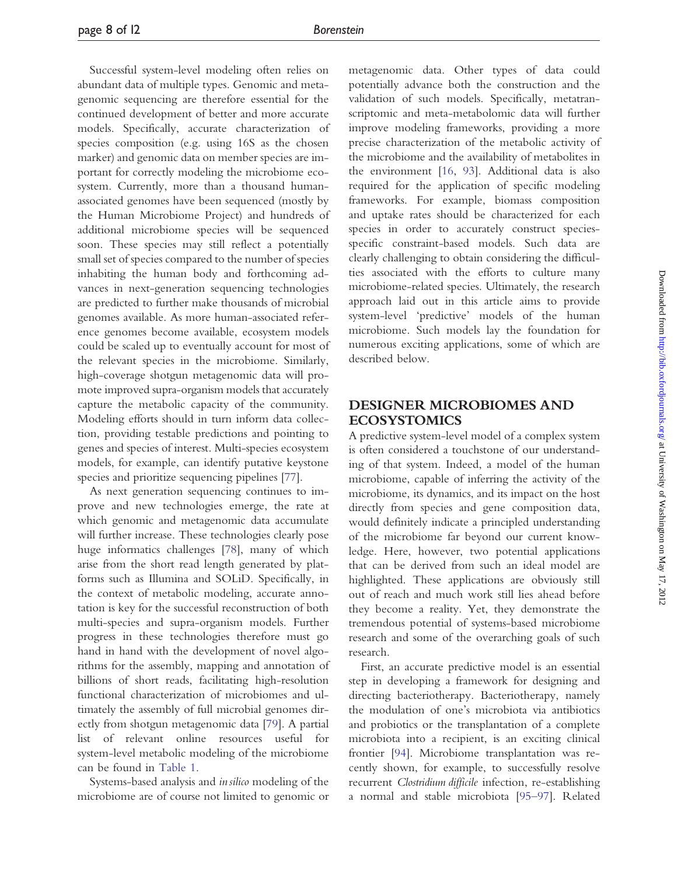Successful system-level modeling often relies on abundant data of multiple types. Genomic and metagenomic sequencing are therefore essential for the continued development of better and more accurate models. Specifically, accurate characterization of species composition (e.g. using 16S as the chosen marker) and genomic data on member species are important for correctly modeling the microbiome ecosystem. Currently, more than a thousand humanassociated genomes have been sequenced (mostly by the Human Microbiome Project) and hundreds of additional microbiome species will be sequenced soon. These species may still reflect a potentially small set of species compared to the number of species inhabiting the human body and forthcoming advances in next-generation sequencing technologies are predicted to further make thousands of microbial genomes available. As more human-associated reference genomes become available, ecosystem models could be scaled up to eventually account for most of the relevant species in the microbiome. Similarly, high-coverage shotgun metagenomic data will promote improved supra-organism models that accurately capture the metabolic capacity of the community. Modeling efforts should in turn inform data collection, providing testable predictions and pointing to genes and species of interest. Multi-species ecosystem models, for example, can identify putative keystone species and prioritize sequencing pipelines [\[77\]](#page-11-0).

As next generation sequencing continues to improve and new technologies emerge, the rate at which genomic and metagenomic data accumulate will further increase. These technologies clearly pose huge informatics challenges [\[78](#page-11-0)], many of which arise from the short read length generated by platforms such as Illumina and SOLiD. Specifically, in the context of metabolic modeling, accurate annotation is key for the successful reconstruction of both multi-species and supra-organism models. Further progress in these technologies therefore must go hand in hand with the development of novel algorithms for the assembly, mapping and annotation of billions of short reads, facilitating high-resolution functional characterization of microbiomes and ultimately the assembly of full microbial genomes directly from shotgun metagenomic data [[79](#page-11-0)]. A partial list of relevant online resources useful for system-level metabolic modeling of the microbiome can be found in [Table 1](#page-8-0).

Systems-based analysis and in silico modeling of the microbiome are of course not limited to genomic or metagenomic data. Other types of data could potentially advance both the construction and the validation of such models. Specifically, metatranscriptomic and meta-metabolomic data will further improve modeling frameworks, providing a more precise characterization of the metabolic activity of the microbiome and the availability of metabolites in the environment [\[16,](#page-9-0) [93\]](#page-11-0). Additional data is also required for the application of specific modeling frameworks. For example, biomass composition and uptake rates should be characterized for each species in order to accurately construct speciesspecific constraint-based models. Such data are clearly challenging to obtain considering the difficulties associated with the efforts to culture many microbiome-related species. Ultimately, the research approach laid out in this article aims to provide system-level 'predictive' models of the human microbiome. Such models lay the foundation for numerous exciting applications, some of which are described below.

# DESIGNER MICROBIOMES AND ECOSYSTOMICS

A predictive system-level model of a complex system is often considered a touchstone of our understanding of that system. Indeed, a model of the human microbiome, capable of inferring the activity of the microbiome, its dynamics, and its impact on the host directly from species and gene composition data, would definitely indicate a principled understanding of the microbiome far beyond our current knowledge. Here, however, two potential applications that can be derived from such an ideal model are highlighted. These applications are obviously still out of reach and much work still lies ahead before they become a reality. Yet, they demonstrate the tremendous potential of systems-based microbiome research and some of the overarching goals of such research.

First, an accurate predictive model is an essential step in developing a framework for designing and directing bacteriotherapy. Bacteriotherapy, namely the modulation of one's microbiota via antibiotics and probiotics or the transplantation of a complete microbiota into a recipient, is an exciting clinical frontier [\[94](#page-11-0)]. Microbiome transplantation was recently shown, for example, to successfully resolve recurrent Clostridium difficile infection, re-establishing a normal and stable microbiota [\[95–97](#page-11-0)]. Related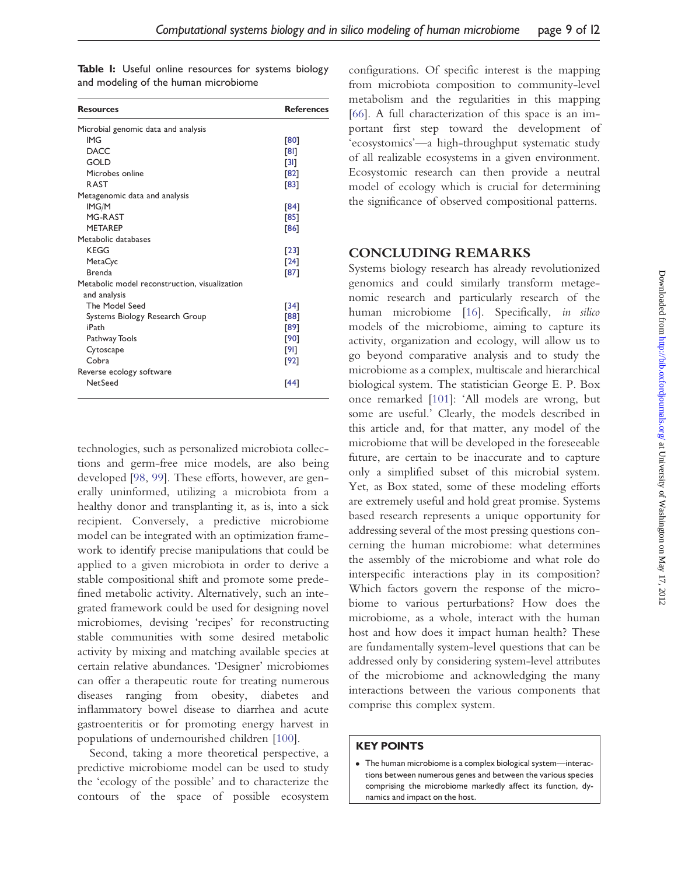<span id="page-8-0"></span>Table I: Useful online resources for systems biology and modeling of the human microbiome

| <b>Resources</b>                              | <b>References</b> |
|-----------------------------------------------|-------------------|
| Microbial genomic data and analysis           |                   |
| <b>IMG</b>                                    | [80]              |
| <b>DACC</b>                                   | [8]               |
| <b>GOLD</b>                                   | [31]              |
| Microbes online                               | [82]              |
| <b>RAST</b>                                   | [83]              |
| Metagenomic data and analysis                 |                   |
| IMG/M                                         | [84]              |
| MG-RAST                                       | [85]              |
| <b>METAREP</b>                                | [86]              |
| Metabolic databases                           |                   |
| KEGG                                          | [23]              |
| MetaCyc                                       | [24]              |
| <b>Brenda</b>                                 | [87]              |
| Metabolic model reconstruction, visualization |                   |
| and analysis                                  |                   |
| The Model Seed                                | [34]              |
| Systems Biology Research Group                | [88]              |
| iPath                                         | [89]              |
| Pathway Tools                                 | [90]              |
| Cytoscape                                     | [91]              |
| Cobra                                         | [92]              |
| Reverse ecology software                      |                   |
| <b>NetSeed</b>                                | [44]              |

technologies, such as personalized microbiota collections and germ-free mice models, are also being developed [[98](#page-11-0), [99\]](#page-11-0). These efforts, however, are generally uninformed, utilizing a microbiota from a healthy donor and transplanting it, as is, into a sick recipient. Conversely, a predictive microbiome model can be integrated with an optimization framework to identify precise manipulations that could be applied to a given microbiota in order to derive a stable compositional shift and promote some predefined metabolic activity. Alternatively, such an integrated framework could be used for designing novel microbiomes, devising 'recipes' for reconstructing stable communities with some desired metabolic activity by mixing and matching available species at certain relative abundances. 'Designer' microbiomes can offer a therapeutic route for treating numerous diseases ranging from obesity, diabetes and inFammatory bowel disease to diarrhea and acute gastroenteritis or for promoting energy harvest in populations of undernourished children [\[100](#page-11-0)].

Second, taking a more theoretical perspective, a predictive microbiome model can be used to study the 'ecology of the possible' and to characterize the contours of the space of possible ecosystem

configurations. Of specific interest is the mapping from microbiota composition to community-level metabolism and the regularities in this mapping [\[66](#page-10-0)]. A full characterization of this space is an important first step toward the development of 'ecosystomics'—a high-throughput systematic study of all realizable ecosystems in a given environment. Ecosystomic research can then provide a neutral model of ecology which is crucial for determining the significance of observed compositional patterns.

# CONCLUDING REMARKS

Systems biology research has already revolutionized genomics and could similarly transform metagenomic research and particularly research of the human microbiome [[16\]](#page-9-0). Specifically, in silico models of the microbiome, aiming to capture its activity, organization and ecology, will allow us to go beyond comparative analysis and to study the microbiome as a complex, multiscale and hierarchical biological system. The statistician George E. P. Box once remarked [\[101](#page-11-0)]: 'All models are wrong, but some are useful.' Clearly, the models described in this article and, for that matter, any model of the microbiome that will be developed in the foreseeable future, are certain to be inaccurate and to capture only a simplified subset of this microbial system. Yet, as Box stated, some of these modeling efforts are extremely useful and hold great promise. Systems based research represents a unique opportunity for addressing several of the most pressing questions concerning the human microbiome: what determines the assembly of the microbiome and what role do interspecific interactions play in its composition? Which factors govern the response of the microbiome to various perturbations? How does the microbiome, as a whole, interact with the human host and how does it impact human health? These are fundamentally system-level questions that can be addressed only by considering system-level attributes of the microbiome and acknowledging the many interactions between the various components that comprise this complex system.

#### KEY POINTS

• The human microbiome is a complex biological system-interactions between numerous genes and between the various species comprising the microbiome markedly affect its function, dynamics and impact on the host.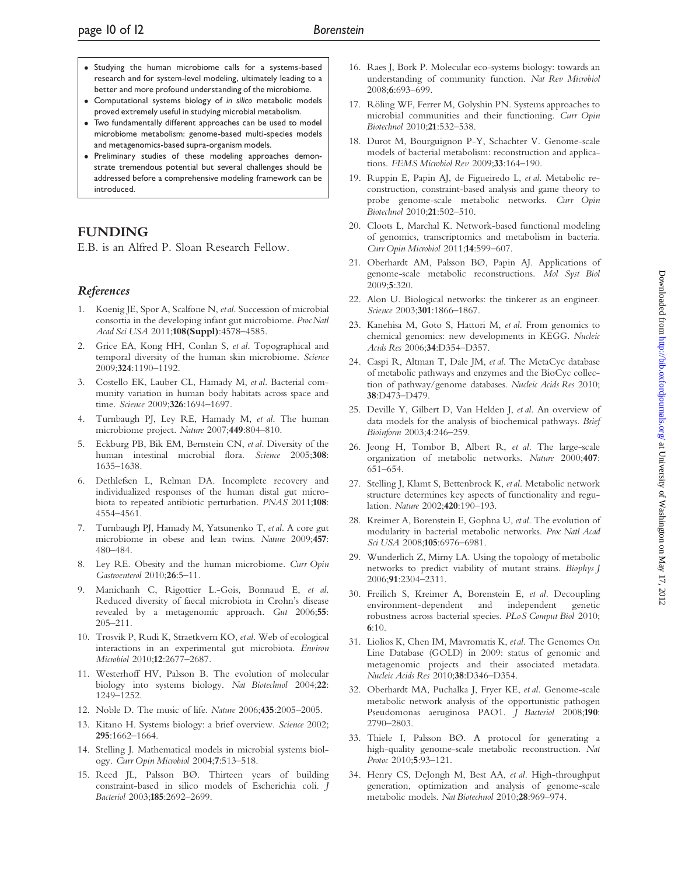- <span id="page-9-0"></span>- Studying the human microbiome calls for a systems-based research and for system-level modeling, ultimately leading to a better and more profound understanding of the microbiome.
- Computational systems biology of in silico metabolic models proved extremely useful in studying microbial metabolism.
- Two fundamentally different approaches can be used to model microbiome metabolism: genome-based multi-species models and metagenomics-based supra-organism models.
- Preliminary studies of these modeling approaches demonstrate tremendous potential but several challenges should be addressed before a comprehensive modeling framework can be introduced.

# FUNDING

E.B. is an Alfred P. Sloan Research Fellow.

#### References

- 1. Koenig JE, Spor A, Scalfone N, etal. Succession of microbial consortia in the developing infant gut microbiome. ProcNatl Acad Sci USA 2011;108(Suppl):4578-4585.
- 2. Grice EA, Kong HH, Conlan S, et al. Topographical and temporal diversity of the human skin microbiome. Science 2009;324:1190–1192.
- 3. Costello EK, Lauber CL, Hamady M, et al. Bacterial community variation in human body habitats across space and time. Science 2009;326:1694-1697.
- 4. Turnbaugh PJ, Ley RE, Hamady M, et al. The human microbiome project. Nature 2007;449:804–810.
- 5. Eckburg PB, Bik EM, Bernstein CN, et al. Diversity of the human intestinal microbial flora. Science 2005;308: 1635–1638.
- 6. Dethlefsen L, Relman DA. Incomplete recovery and individualized responses of the human distal gut microbiota to repeated antibiotic perturbation. PNAS 2011;108: 4554–4561.
- 7. Turnbaugh PJ, Hamady M, Yatsunenko T, et al. A core gut microbiome in obese and lean twins. Nature 2009;457: 480–484.
- 8. Ley RE. Obesity and the human microbiome. Curr Opin Gastroenterol 2010;26:5–11.
- 9. Manichanh C, Rigottier L.-Gois, Bonnaud E, et al. Reduced diversity of faecal microbiota in Crohn's disease revealed by a metagenomic approach. Gut 2006;55: 205–211.
- 10. Trosvik P, Rudi K, Straetkvern KO, etal. Web of ecological interactions in an experimental gut microbiota. Environ Microbiol 2010;12:2677–2687.
- 11. Westerhoff HV, Palsson B. The evolution of molecular biology into systems biology. Nat Biotechnol 2004;22: 1249–1252.
- 12. Noble D. The music of life. Nature 2006;435:2005–2005.
- 13. Kitano H. Systems biology: a brief overview. Science 2002; 295:1662–1664.
- 14. Stelling J. Mathematical models in microbial systems biology. Curr Opin Microbiol 2004;7:513–518.
- 15. Reed JL, Palsson BØ. Thirteen years of building constraint-based in silico models of Escherichia coli. J Bacteriol 2003;185:2692–2699.
- 16. Raes J, Bork P. Molecular eco-systems biology: towards an understanding of community function. Nat Rev Microbiol 2008;6:693–699.
- 17. Röling WF, Ferrer M, Golyshin PN. Systems approaches to microbial communities and their functioning. Curr Opin Biotechnol 2010;21:532–538.
- 18. Durot M, Bourguignon P-Y, Schachter V. Genome-scale models of bacterial metabolism: reconstruction and applications. FEMS Microbiol Rev 2009;33:164–190.
- 19. Ruppin E, Papin AJ, de Figueiredo L, et al. Metabolic reconstruction, constraint-based analysis and game theory to probe genome-scale metabolic networks. Curr Opin Biotechnol 2010;21:502–510.
- 20. Cloots L, Marchal K. Network-based functional modeling of genomics, transcriptomics and metabolism in bacteria. Curr Opin Microbiol 2011;14:599–607.
- 21. Oberhardt AM, Palsson BØ, Papin AJ. Applications of genome-scale metabolic reconstructions. Mol Syst Biol 2009;5:320.
- 22. Alon U. Biological networks: the tinkerer as an engineer. Science 2003;301:1866–1867.
- 23. Kanehisa M, Goto S, Hattori M, et al. From genomics to chemical genomics: new developments in KEGG. Nucleic Acids Res 2006;34:D354–D357.
- 24. Caspi R, Altman T, Dale JM, et al. The MetaCyc database of metabolic pathways and enzymes and the BioCyc collection of pathway/genome databases. Nucleic Acids Res 2010; 38:D473–D479.
- 25. Deville Y, Gilbert D, Van Helden J, et al. An overview of data models for the analysis of biochemical pathways. Brief Bioinform 2003;4:246–259.
- 26. Jeong H, Tombor B, Albert R, et al. The large-scale organization of metabolic networks. Nature 2000;407: 651–654.
- 27. Stelling J, Klamt S, Bettenbrock K, etal. Metabolic network structure determines key aspects of functionality and regulation. Nature 2002;420:190–193.
- 28. Kreimer A, Borenstein E, Gophna U, etal. The evolution of modularity in bacterial metabolic networks. Proc Natl Acad Sci USA 2008;105:6976-6981.
- 29. Wunderlich Z, Mirny LA. Using the topology of metabolic networks to predict viability of mutant strains. Biophys J 2006;91:2304–2311.
- 30. Freilich S, Kreimer A, Borenstein E, et al. Decoupling environment-dependent and independent genetic robustness across bacterial species. PLoS Comput Biol 2010; 6:10.
- 31. Liolios K, Chen IM, Mavromatis K, etal. The Genomes On Line Database (GOLD) in 2009: status of genomic and metagenomic projects and their associated metadata. Nucleic Acids Res 2010;38:D346–D354.
- 32. Oberhardt MA, Puchalka J, Fryer KE, et al. Genome-scale metabolic network analysis of the opportunistic pathogen Pseudomonas aeruginosa PAO1. J Bacteriol 2008;190: 2790–2803.
- 33. Thiele I, Palsson BØ. A protocol for generating a high-quality genome-scale metabolic reconstruction. Nat Protoc 2010;5:93-121.
- 34. Henry CS, DeJongh M, Best AA, et al. High-throughput generation, optimization and analysis of genome-scale metabolic models. Nat Biotechnol 2010;28:969–974.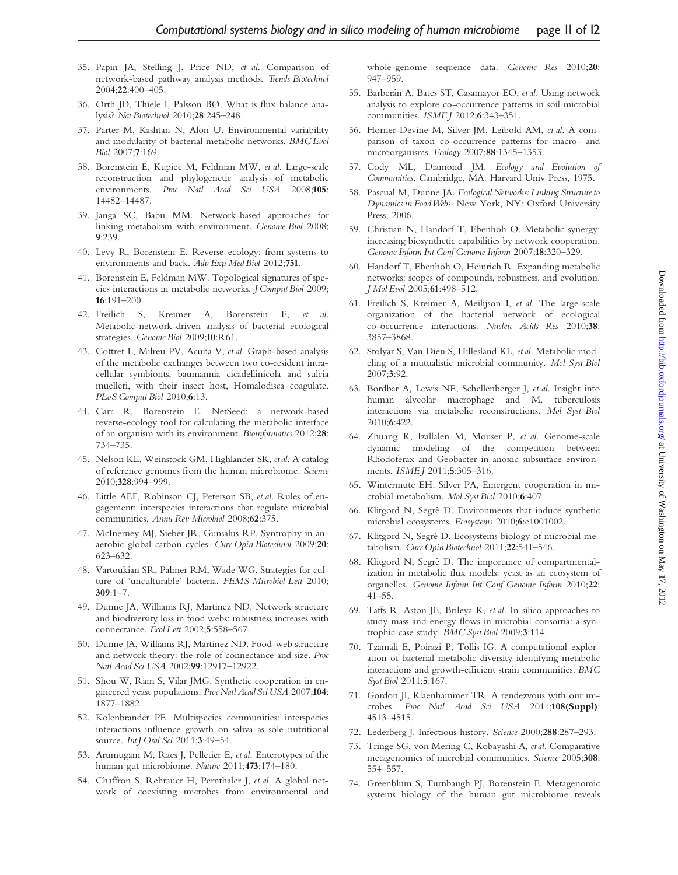- <span id="page-10-0"></span>35. Papin JA, Stelling J, Price ND, et al. Comparison of network-based pathway analysis methods. Trends Biotechnol 2004;22:400–405.
- 36. Orth JD, Thiele I, Palsson BØ. What is flux balance analysis? Nat Biotechnol 2010;28:245–248.
- 37. Parter M, Kashtan N, Alon U. Environmental variability and modularity of bacterial metabolic networks. BMC Evol Biol 2007;7:169.
- 38. Borenstein E, Kupiec M, Feldman MW, et al. Large-scale reconstruction and phylogenetic analysis of metabolic environments. Proc Natl Acad Sci USA 2008;105: 14482–14487.
- 39. Janga SC, Babu MM. Network-based approaches for linking metabolism with environment. Genome Biol 2008; 9:239.
- 40. Levy R, Borenstein E. Reverse ecology: from systems to environments and back. Adv Exp Med Biol 2012;751.
- 41. Borenstein E, Feldman MW. Topological signatures of species interactions in metabolic networks. J Comput Biol 2009; 16:191–200.
- 42. Freilich S, Kreimer A, Borenstein E, et al. Metabolic-network-driven analysis of bacterial ecological strategies. Genome Biol 2009;10:R61.
- 43. Cottret L, Milreu PV, Acuña V, et al. Graph-based analysis of the metabolic exchanges between two co-resident intracellular symbionts, baumannia cicadellinicola and sulcia muelleri, with their insect host, Homalodisca coagulate. PLoS Comput Biol 2010;6:13.
- 44. Carr R, Borenstein E. NetSeed: a network-based reverse-ecology tool for calculating the metabolic interface of an organism with its environment. Bioinformatics 2012;28: 734–735.
- 45. Nelson KE, Weinstock GM, Highlander SK, et al. A catalog of reference genomes from the human microbiome. Science 2010;328:994–999.
- 46. Little AEF, Robinson CJ, Peterson SB, et al. Rules of engagement: interspecies interactions that regulate microbial communities. Annu Rev Microbiol 2008;62:375.
- 47. McInerney MJ, Sieber JR, Gunsalus RP. Syntrophy in anaerobic global carbon cycles. Curr Opin Biotechnol 2009;20: 623–632.
- 48. Vartoukian SR, Palmer RM, Wade WG. Strategies for culture of 'unculturable' bacteria. FEMS Microbiol Lett 2010;  $309:1 - 7$ .
- 49. Dunne JA, Williams RJ, Martinez ND. Network structure and biodiversity loss in food webs: robustness increases with connectance. Ecol Lett 2002;5:558–567.
- 50. Dunne JA, Williams RJ, Martinez ND. Food-web structure and network theory: the role of connectance and size. Proc Natl Acad Sci USA 2002;99:12917–12922.
- 51. Shou W, Ram S, Vilar JMG. Synthetic cooperation in engineered yeast populations. Proc Natl Acad Sci USA 2007;104: 1877–1882.
- 52. Kolenbrander PE. Multispecies communities: interspecies interactions influence growth on saliva as sole nutritional source. Int J Oral Sci 2011;3:49-54.
- 53. Arumugam M, Raes J, Pelletier E, et al. Enterotypes of the human gut microbiome. Nature 2011;473:174–180.
- 54. Chaffron S, Rehrauer H, Pernthaler J, et al. A global network of coexisting microbes from environmental and

whole-genome sequence data. Genome Res 2010;20: 947–959.

- 55. Barberán A, Bates ST, Casamayor EO, et al. Using network analysis to explore co-occurrence patterns in soil microbial communities. ISME J 2012;6:343–351.
- 56. Horner-Devine M, Silver JM, Leibold AM, et al. A comparison of taxon co-occurrence patterns for macro- and microorganisms. Ecology 2007;88:1345–1353.
- 57. Cody ML, Diamond JM. Ecology and Evolution of Communities. Cambridge, MA: Harvard Univ Press, 1975.
- 58. Pascual M, Dunne JA. Ecological Networks: Linking Structure to Dynamics in FoodWebs. New York, NY: Oxford University Press, 2006.
- 59. Christian N, Handorf T, Ebenhöh O. Metabolic synergy: increasing biosynthetic capabilities by network cooperation. Genome Inform Int Conf Genome Inform 2007;18:320–329.
- 60. Handorf T, Ebenhöh O, Heinrich R. Expanding metabolic networks: scopes of compounds, robustness, and evolution. J Mol Evol 2005;61:498–512.
- 61. Freilich S, Kreimer A, Meilijson I, et al. The large-scale organization of the bacterial network of ecological co-occurrence interactions. Nucleic Acids Res 2010;38: 3857–3868.
- 62. Stolyar S, Van Dien S, Hillesland KL, et al. Metabolic modeling of a mutualistic microbial community. Mol Syst Biol 2007;3:92.
- 63. Bordbar A, Lewis NE, Schellenberger J, et al. Insight into human alveolar macrophage and M. tuberculosis interactions via metabolic reconstructions. Mol Syst Biol 2010;6:422.
- 64. Zhuang K, Izallalen M, Mouser P, et al. Genome-scale dynamic modeling of the competition between Rhodoferax and Geobacter in anoxic subsurface environments. ISMEJ 2011;5:305-316.
- 65. Wintermute EH. Silver PA, Emergent cooperation in microbial metabolism. Mol Syst Biol 2010;6:407.
- 66. Klitgord N, Segre` D. Environments that induce synthetic microbial ecosystems. Ecosystems 2010;6:e1001002.
- 67. Klitgord N, Segre` D. Ecosystems biology of microbial metabolism. Curr Opin Biotechnol 2011;22:541–546.
- 68. Klitgord N, Segre` D. The importance of compartmentalization in metabolic flux models: yeast as an ecosystem of organelles. Genome Inform Int Conf Genome Inform 2010;22: 41–55.
- 69. Taffs R, Aston JE, Brileya K, et al. In silico approaches to study mass and energy flows in microbial consortia: a syntrophic case study. BMC Syst Biol 2009;3:114.
- 70. Tzamali E, Poirazi P, Tollis IG. A computational exploration of bacterial metabolic diversity identifying metabolic interactions and growth-efficient strain communities. BMC Syst Biol 2011;5:167.
- 71. Gordon JI, Klaenhammer TR. A rendezvous with our microbes. Proc Natl Acad Sci USA 2011;108(Suppl): 4513–4515.
- 72. Lederberg J. Infectious history. Science 2000;288:287–293.
- 73. Tringe SG, von Mering C, Kobayashi A, et al. Comparative metagenomics of microbial communities. Science 2005;308: 554–557.
- 74. Greenblum S, Turnbaugh PJ, Borenstein E. Metagenomic systems biology of the human gut microbiome reveals